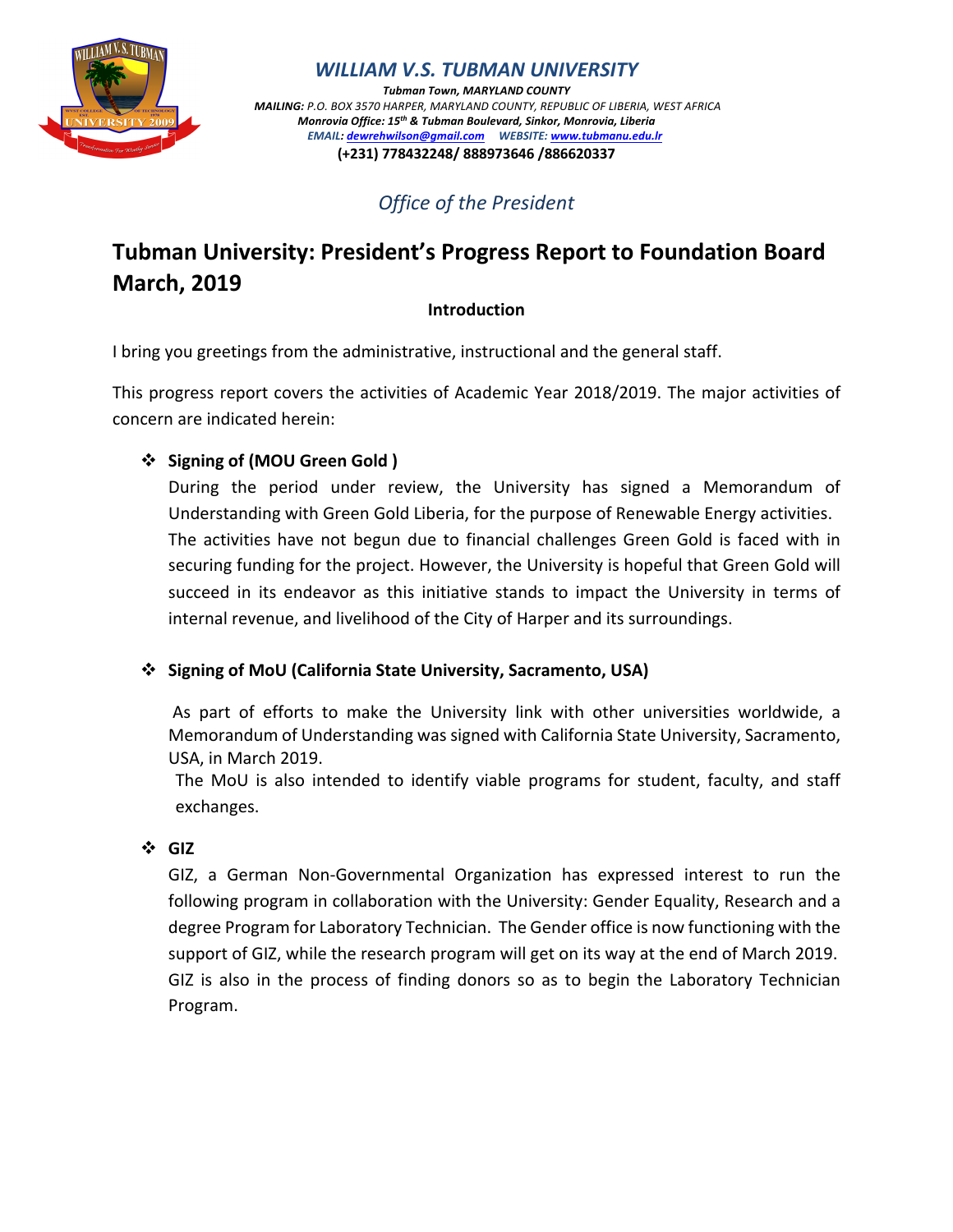

*WILLIAM V.S. TUBMAN UNIVERSITY*

*Tubman Town, MARYLAND COUNTY MAILING: P.O. BOX 3570 HARPER, MARYLAND COUNTY, REPUBLIC OF LIBERIA, WEST AFRICA Monrovia Office: 15th & Tubman Boulevard, Sinkor, Monrovia, Liberia EMAIL: dewrehwilson@gmail.com WEBSITE: www.tubmanu.edu.lr* **(+231) 778432248/ 888973646 /886620337**

*Office of the President*

# **Tubman University: President's Progress Report to Foundation Board March, 2019**

## **Introduction**

I bring you greetings from the administrative, instructional and the general staff.

This progress report covers the activities of Academic Year 2018/2019. The major activities of concern are indicated herein:

# v **Signing of (MOU Green Gold )**

During the period under review, the University has signed a Memorandum of Understanding with Green Gold Liberia, for the purpose of Renewable Energy activities. The activities have not begun due to financial challenges Green Gold is faced with in securing funding for the project. However, the University is hopeful that Green Gold will succeed in its endeavor as this initiative stands to impact the University in terms of internal revenue, and livelihood of the City of Harper and its surroundings.

## v **Signing of MoU (California State University, Sacramento, USA)**

As part of efforts to make the University link with other universities worldwide, a Memorandum of Understanding was signed with California State University, Sacramento, USA, in March 2019.

The MoU is also intended to identify viable programs for student, faculty, and staff exchanges.

## v **GIZ**

GIZ, a German Non-Governmental Organization has expressed interest to run the following program in collaboration with the University: Gender Equality, Research and a degree Program for Laboratory Technician. The Gender office is now functioning with the support of GIZ, while the research program will get on its way at the end of March 2019. GIZ is also in the process of finding donors so as to begin the Laboratory Technician Program.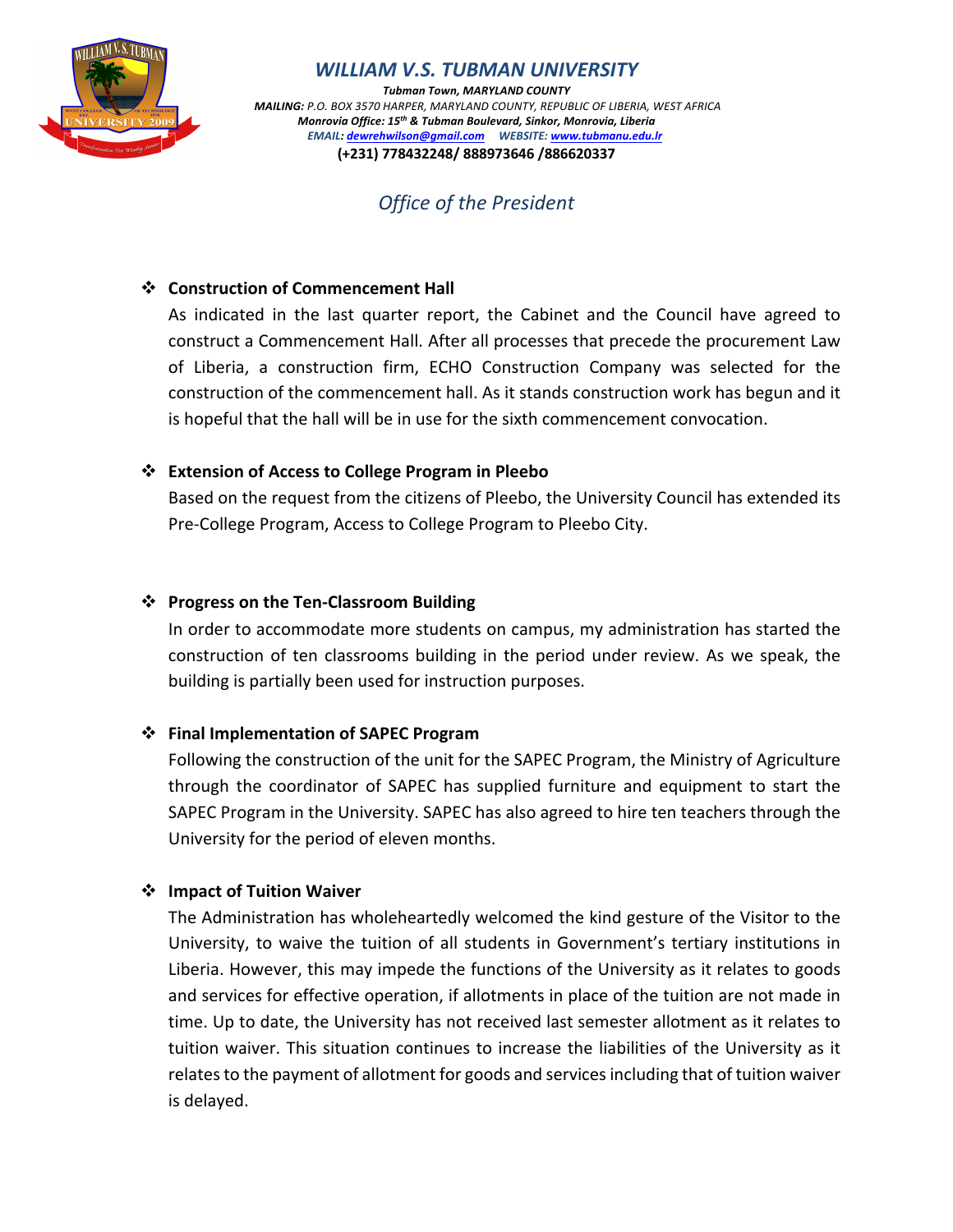

*WILLIAM V.S. TUBMAN UNIVERSITY*

*Tubman Town, MARYLAND COUNTY MAILING: P.O. BOX 3570 HARPER, MARYLAND COUNTY, REPUBLIC OF LIBERIA, WEST AFRICA Monrovia Office: 15th & Tubman Boulevard, Sinkor, Monrovia, Liberia EMAIL: dewrehwilson@gmail.com WEBSITE: www.tubmanu.edu.lr* **(+231) 778432248/ 888973646 /886620337**

*Office of the President*

#### **❖** Construction of Commencement Hall

As indicated in the last quarter report, the Cabinet and the Council have agreed to construct a Commencement Hall. After all processes that precede the procurement Law of Liberia, a construction firm, ECHO Construction Company was selected for the construction of the commencement hall. As it stands construction work has begun and it is hopeful that the hall will be in use for the sixth commencement convocation.

## v **Extension of Access to College Program in Pleebo**

Based on the request from the citizens of Pleebo, the University Council has extended its Pre-College Program, Access to College Program to Pleebo City.

## v **Progress on the Ten-Classroom Building**

In order to accommodate more students on campus, my administration has started the construction of ten classrooms building in the period under review. As we speak, the building is partially been used for instruction purposes.

#### v **Final Implementation of SAPEC Program**

Following the construction of the unit for the SAPEC Program, the Ministry of Agriculture through the coordinator of SAPEC has supplied furniture and equipment to start the SAPEC Program in the University. SAPEC has also agreed to hire ten teachers through the University for the period of eleven months.

#### v **Impact of Tuition Waiver**

The Administration has wholeheartedly welcomed the kind gesture of the Visitor to the University, to waive the tuition of all students in Government's tertiary institutions in Liberia. However, this may impede the functions of the University as it relates to goods and services for effective operation, if allotments in place of the tuition are not made in time. Up to date, the University has not received last semester allotment as it relates to tuition waiver. This situation continues to increase the liabilities of the University as it relates to the payment of allotment for goods and services including that of tuition waiver is delayed.